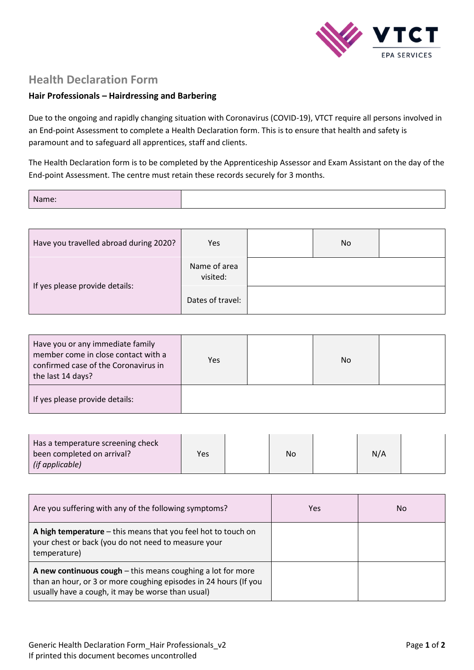

## **Health Declaration Form**

## **Hair Professionals – Hairdressing and Barbering**

Due to the ongoing and rapidly changing situation with Coronavirus (COVID-19), VTCT require all persons involved in an End-point Assessment to complete a Health Declaration form. This is to ensure that health and safety is paramount and to safeguard all apprentices, staff and clients.

The Health Declaration form is to be completed by the Apprenticeship Assessor and Exam Assistant on the day of the End-point Assessment. The centre must retain these records securely for 3 months.

| Name: |  |
|-------|--|
|       |  |
|       |  |

| Have you travelled abroad during 2020? | Yes                      | No |  |
|----------------------------------------|--------------------------|----|--|
| If yes please provide details:         | Name of area<br>visited: |    |  |
|                                        | Dates of travel:         |    |  |

| Have you or any immediate family<br>member come in close contact with a<br>confirmed case of the Coronavirus in<br>the last 14 days? | Yes | <b>No</b> |  |
|--------------------------------------------------------------------------------------------------------------------------------------|-----|-----------|--|
| If yes please provide details:                                                                                                       |     |           |  |

| Has a temperature screening check<br>been completed on arrival?<br>(if applicable) | <b>Yes</b> | No | N/A |  |
|------------------------------------------------------------------------------------|------------|----|-----|--|
|                                                                                    |            |    |     |  |

| Are you suffering with any of the following symptoms?                                                                                                                                  | Yes | No |
|----------------------------------------------------------------------------------------------------------------------------------------------------------------------------------------|-----|----|
| A high temperature – this means that you feel hot to touch on<br>your chest or back (you do not need to measure your<br>temperature)                                                   |     |    |
| A new continuous $cough$ - this means coughing a lot for more<br>than an hour, or 3 or more coughing episodes in 24 hours (If you<br>usually have a cough, it may be worse than usual) |     |    |